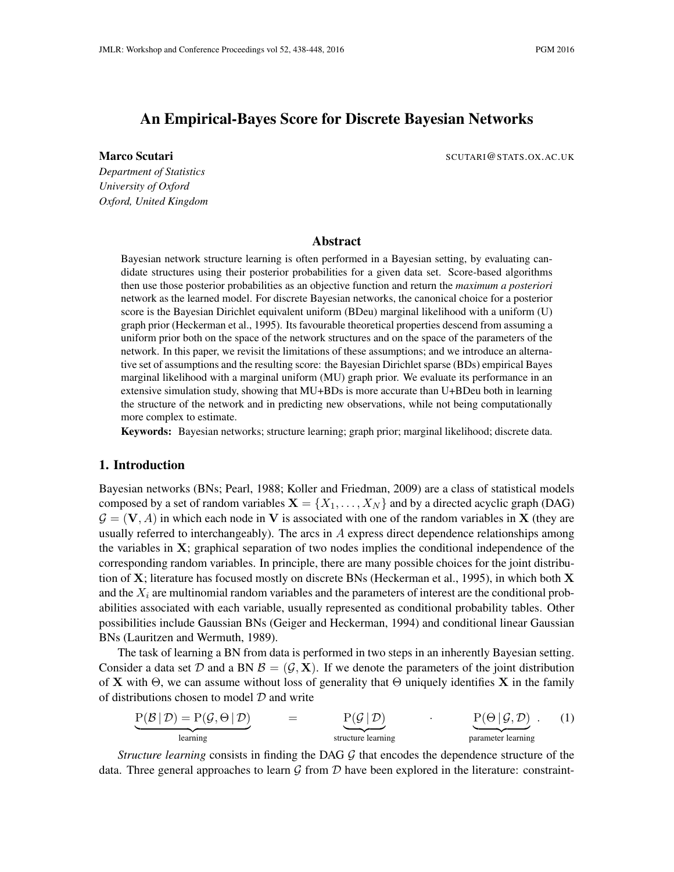# An Empirical-Bayes Score for Discrete Bayesian Networks

**Marco Scutari** New York 1980 SCUTARI & SCUTARI & SCUTARI & SCUTARI & SCUTARI & SCUTARI & SCUTARI & SCUTARI & SCUTARI & SCUTARI & SCUTARI & SCUTARI & SCUTARI & SCUTARI & SCUTARI & SCUTARI & SCUTARI & SCUTARI & SCUTARI & SC

*Department of Statistics University of Oxford Oxford, United Kingdom*

## Abstract

Bayesian network structure learning is often performed in a Bayesian setting, by evaluating candidate structures using their posterior probabilities for a given data set. Score-based algorithms then use those posterior probabilities as an objective function and return the *maximum a posteriori* network as the learned model. For discrete Bayesian networks, the canonical choice for a posterior score is the Bayesian Dirichlet equivalent uniform (BDeu) marginal likelihood with a uniform (U) graph prior (Heckerman et al., 1995). Its favourable theoretical properties descend from assuming a uniform prior both on the space of the network structures and on the space of the parameters of the network. In this paper, we revisit the limitations of these assumptions; and we introduce an alternative set of assumptions and the resulting score: the Bayesian Dirichlet sparse (BDs) empirical Bayes marginal likelihood with a marginal uniform (MU) graph prior. We evaluate its performance in an extensive simulation study, showing that MU+BDs is more accurate than U+BDeu both in learning the structure of the network and in predicting new observations, while not being computationally more complex to estimate.

Keywords: Bayesian networks; structure learning; graph prior; marginal likelihood; discrete data.

## 1. Introduction

Bayesian networks (BNs; Pearl, 1988; Koller and Friedman, 2009) are a class of statistical models composed by a set of random variables  $X = \{X_1, \ldots, X_N\}$  and by a directed acyclic graph (DAG)  $\mathcal{G} = (\mathbf{V}, A)$  in which each node in V is associated with one of the random variables in X (they are usually referred to interchangeably). The arcs in  $A$  express direct dependence relationships among the variables in  $X$ ; graphical separation of two nodes implies the conditional independence of the corresponding random variables. In principle, there are many possible choices for the joint distribution of  $X$ ; literature has focused mostly on discrete BNs (Heckerman et al., 1995), in which both  $X$ and the  $X_i$  are multinomial random variables and the parameters of interest are the conditional probabilities associated with each variable, usually represented as conditional probability tables. Other possibilities include Gaussian BNs (Geiger and Heckerman, 1994) and conditional linear Gaussian BNs (Lauritzen and Wermuth, 1989).

The task of learning a BN from data is performed in two steps in an inherently Bayesian setting. Consider a data set D and a BN  $\mathcal{B} = (\mathcal{G}, \mathbf{X})$ . If we denote the parameters of the joint distribution of **X** with  $\Theta$ , we can assume without loss of generality that  $\Theta$  uniquely identifies **X** in the family of distributions chosen to model  $D$  and write

$$
\underline{P(B | D) = P(G, \Theta | D)} = \underbrace{P(G | D)}_{\text{learning}} = \underbrace{P(G | D)}_{\text{structure learning}} \cdot \underbrace{P(\Theta | G, D)}_{\text{parameter learning}}.
$$
 (1)

*Structure learning* consists in finding the DAG  $\mathcal G$  that encodes the dependence structure of the data. Three general approaches to learn  $G$  from  $D$  have been explored in the literature: constraint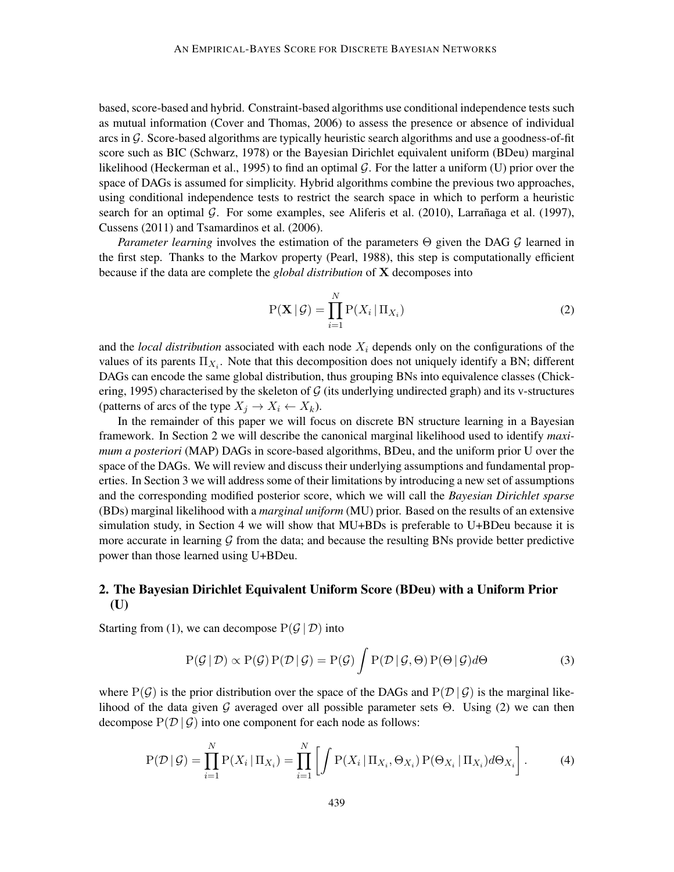based, score-based and hybrid. Constraint-based algorithms use conditional independence tests such as mutual information (Cover and Thomas, 2006) to assess the presence or absence of individual arcs in G. Score-based algorithms are typically heuristic search algorithms and use a goodness-of-fit score such as BIC (Schwarz, 1978) or the Bayesian Dirichlet equivalent uniform (BDeu) marginal likelihood (Heckerman et al., 1995) to find an optimal  $G$ . For the latter a uniform (U) prior over the space of DAGs is assumed for simplicity. Hybrid algorithms combine the previous two approaches, using conditional independence tests to restrict the search space in which to perform a heuristic search for an optimal  $G$ . For some examples, see Aliferis et al. (2010), Larranaga et al. (1997), Cussens (2011) and Tsamardinos et al. (2006).

*Parameter learning* involves the estimation of the parameters Θ given the DAG G learned in the first step. Thanks to the Markov property (Pearl, 1988), this step is computationally efficient because if the data are complete the *global distribution* of X decomposes into

$$
P(\mathbf{X} \mid \mathcal{G}) = \prod_{i=1}^{N} P(X_i \mid \Pi_{X_i})
$$
\n(2)

and the *local distribution* associated with each node  $X_i$  depends only on the configurations of the values of its parents  $\Pi_{X_i}$ . Note that this decomposition does not uniquely identify a BN; different DAGs can encode the same global distribution, thus grouping BNs into equivalence classes (Chickering, 1995) characterised by the skeleton of  $G$  (its underlying undirected graph) and its v-structures (patterns of arcs of the type  $X_i \to X_i \leftarrow X_k$ ).

In the remainder of this paper we will focus on discrete BN structure learning in a Bayesian framework. In Section 2 we will describe the canonical marginal likelihood used to identify *maximum a posteriori* (MAP) DAGs in score-based algorithms, BDeu, and the uniform prior U over the space of the DAGs. We will review and discuss their underlying assumptions and fundamental properties. In Section 3 we will address some of their limitations by introducing a new set of assumptions and the corresponding modified posterior score, which we will call the *Bayesian Dirichlet sparse* (BDs) marginal likelihood with a *marginal uniform* (MU) prior. Based on the results of an extensive simulation study, in Section 4 we will show that MU+BDs is preferable to U+BDeu because it is more accurate in learning  $G$  from the data; and because the resulting BNs provide better predictive power than those learned using U+BDeu.

# 2. The Bayesian Dirichlet Equivalent Uniform Score (BDeu) with a Uniform Prior (U)

Starting from (1), we can decompose  $P(G | D)$  into

$$
P(\mathcal{G} | \mathcal{D}) \propto P(\mathcal{G}) P(\mathcal{D} | \mathcal{G}) = P(\mathcal{G}) \int P(\mathcal{D} | \mathcal{G}, \Theta) P(\Theta | \mathcal{G}) d\Theta
$$
\n(3)

where  $P(G)$  is the prior distribution over the space of the DAGs and  $P(D | G)$  is the marginal likelihood of the data given G averaged over all possible parameter sets  $\Theta$ . Using (2) we can then decompose  $P(D | \mathcal{G})$  into one component for each node as follows:

$$
P(\mathcal{D} \mid \mathcal{G}) = \prod_{i=1}^{N} P(X_i \mid \Pi_{X_i}) = \prod_{i=1}^{N} \left[ \int P(X_i \mid \Pi_{X_i}, \Theta_{X_i}) P(\Theta_{X_i} \mid \Pi_{X_i}) d\Theta_{X_i} \right].
$$
 (4)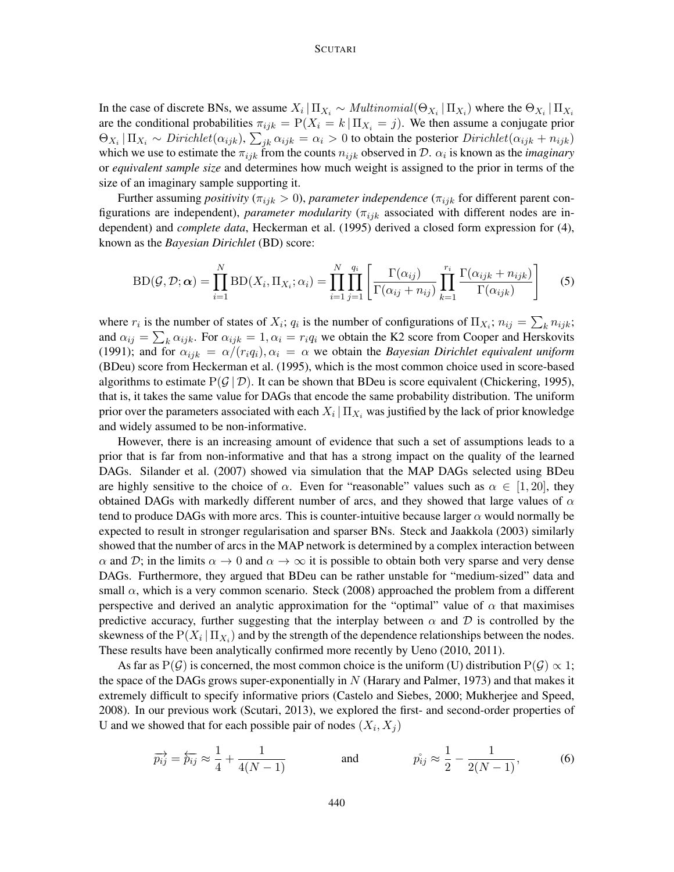#### **SCUTARI**

In the case of discrete BNs, we assume  $X_i | \Pi_{X_i} \sim Multinomial(\Theta_{X_i} | \Pi_{X_i})$  where the  $\Theta_{X_i} | \Pi_{X_i}$ are the conditional probabilities  $\pi_{ijk} = P(X_i = k | \Pi_{X_i} = j)$ . We then assume a conjugate prior  $\Theta_{X_i} | \Pi_{X_i} \sim Dirichlet(\alpha_{ijk}), \sum_{jk} \alpha_{ijk} = \alpha_i > 0$  to obtain the posterior  $Dirichlet(\alpha_{ijk} + n_{ijk})$ which we use to estimate the  $\pi_{ijk}$  from the counts  $n_{ijk}$  observed in D.  $\alpha_i$  is known as the *imaginary* or *equivalent sample size* and determines how much weight is assigned to the prior in terms of the size of an imaginary sample supporting it.

Further assuming *positivity* ( $\pi_{ijk} > 0$ ), *parameter independence* ( $\pi_{ijk}$  for different parent configurations are independent), *parameter modularity* ( $\pi_{ijk}$  associated with different nodes are independent) and *complete data*, Heckerman et al. (1995) derived a closed form expression for (4), known as the *Bayesian Dirichlet* (BD) score:

$$
BD(\mathcal{G}, \mathcal{D}; \boldsymbol{\alpha}) = \prod_{i=1}^{N} BD(X_i, \Pi_{X_i}; \alpha_i) = \prod_{i=1}^{N} \prod_{j=1}^{q_i} \left[ \frac{\Gamma(\alpha_{ij})}{\Gamma(\alpha_{ij} + n_{ij})} \prod_{k=1}^{r_i} \frac{\Gamma(\alpha_{ijk} + n_{ijk})}{\Gamma(\alpha_{ijk})} \right]
$$
(5)

where  $r_i$  is the number of states of  $X_i$ ;  $q_i$  is the number of configurations of  $\Pi_{X_i}$ ;  $n_{ij} = \sum_k n_{ijk}$ ; and  $\alpha_{ij} = \sum_k \alpha_{ijk}$ . For  $\alpha_{ijk} = 1, \alpha_i = r_i q_i$  we obtain the K2 score from Cooper and Herskovits (1991); and for  $\alpha_{ijk} = \alpha/(r_i q_i)$ ,  $\alpha_i = \alpha$  we obtain the *Bayesian Dirichlet equivalent uniform* (BDeu) score from Heckerman et al. (1995), which is the most common choice used in score-based algorithms to estimate  $P(G | D)$ . It can be shown that BDeu is score equivalent (Chickering, 1995), that is, it takes the same value for DAGs that encode the same probability distribution. The uniform prior over the parameters associated with each  $X_i\,|\,\Pi_{X_i}$  was justified by the lack of prior knowledge and widely assumed to be non-informative.

However, there is an increasing amount of evidence that such a set of assumptions leads to a prior that is far from non-informative and that has a strong impact on the quality of the learned DAGs. Silander et al. (2007) showed via simulation that the MAP DAGs selected using BDeu are highly sensitive to the choice of  $\alpha$ . Even for "reasonable" values such as  $\alpha \in [1, 20]$ , they obtained DAGs with markedly different number of arcs, and they showed that large values of  $\alpha$ tend to produce DAGs with more arcs. This is counter-intuitive because larger  $\alpha$  would normally be expected to result in stronger regularisation and sparser BNs. Steck and Jaakkola (2003) similarly showed that the number of arcs in the MAP network is determined by a complex interaction between  $\alpha$  and D; in the limits  $\alpha \to 0$  and  $\alpha \to \infty$  it is possible to obtain both very sparse and very dense DAGs. Furthermore, they argued that BDeu can be rather unstable for "medium-sized" data and small  $\alpha$ , which is a very common scenario. Steck (2008) approached the problem from a different perspective and derived an analytic approximation for the "optimal" value of  $\alpha$  that maximises predictive accuracy, further suggesting that the interplay between  $\alpha$  and  $\beta$  is controlled by the skewness of the  $P(X_i | \Pi_{X_i})$  and by the strength of the dependence relationships between the nodes. These results have been analytically confirmed more recently by Ueno (2010, 2011).

As far as P(G) is concerned, the most common choice is the uniform (U) distribution P(G)  $\propto$  1; the space of the DAGs grows super-exponentially in  $N$  (Harary and Palmer, 1973) and that makes it extremely difficult to specify informative priors (Castelo and Siebes, 2000; Mukherjee and Speed, 2008). In our previous work (Scutari, 2013), we explored the first- and second-order properties of U and we showed that for each possible pair of nodes  $(X_i, X_j)$ 

$$
\overrightarrow{p_{ij}} = \overleftarrow{p_{ij}} \approx \frac{1}{4} + \frac{1}{4(N-1)} \quad \text{and} \quad \overrightarrow{p_{ij}} \approx \frac{1}{2} - \frac{1}{2(N-1)}, \quad (6)
$$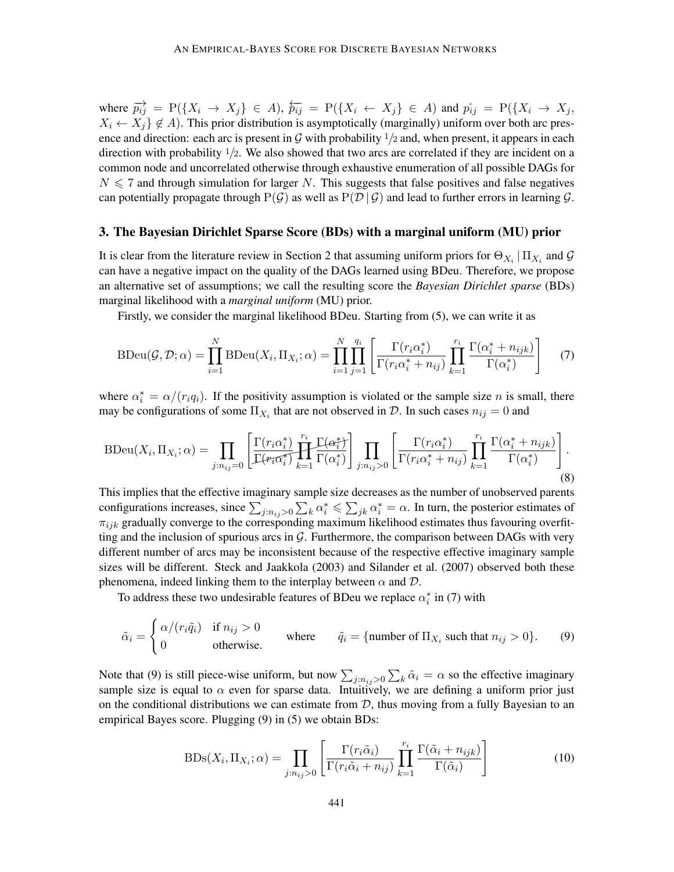where  $\overrightarrow{p_{ij}} = P(\lbrace X_i \rightarrow X_j \rbrace \in A)$ ,  $\overleftarrow{p_{ij}} = P(\lbrace X_i \leftarrow X_j \rbrace \in A)$  and  $\overrightarrow{p_{ij}} = P(\lbrace X_i \rightarrow X_j \rbrace \setminus A)$  $X_i \leftarrow X_i$   $\notin A$ ). This prior distribution is asymptotically (marginally) uniform over both arc presence and direction: each arc is present in G with probability  $1/2$  and, when present, it appears in each direction with probability  $1/2$ . We also showed that two arcs are correlated if they are incident on a common node and uncorrelated otherwise through exhaustive enumeration of all possible DAGs for  $N \leq 7$  and through simulation for larger N. This suggests that false positives and false negatives can potentially propagate through  $P(G)$  as well as  $P(\mathcal{D} | \mathcal{G})$  and lead to further errors in learning  $\mathcal{G}$ .

#### 3. The Bayesian Dirichlet Sparse Score (BDs) with a marginal uniform (MU) prior

It is clear from the literature review in Section 2 that assuming uniform priors for  $\Theta_{X_i} | \Pi_{X_i}$  and  $\mathcal G$ can have a negative impact on the quality of the DAGs learned using BDeu. Therefore, we propose an alternative set of assumptions; we call the resulting score the *Bayesian Dirichlet sparse* (BDs) marginal likelihood with a *marginal uniform* (MU) prior.

Firstly, we consider the marginal likelihood BDeu. Starting from (5), we can write it as

$$
\text{BDeu}(\mathcal{G}, \mathcal{D}; \alpha) = \prod_{i=1}^{N} \text{BDeu}(X_i, \Pi_{X_i}; \alpha) = \prod_{i=1}^{N} \prod_{j=1}^{q_i} \left[ \frac{\Gamma(r_i \alpha_i^*)}{\Gamma(r_i \alpha_i^* + n_{ij})} \prod_{k=1}^{r_i} \frac{\Gamma(\alpha_i^* + n_{ijk})}{\Gamma(\alpha_i^*)} \right] \tag{7}
$$

where  $\alpha_i^* = \alpha/(r_i q_i)$ . If the positivity assumption is violated or the sample size *n* is small, there may be configurations of some  $\Pi_{X_i}$  that are not observed in  $\mathcal{D}$ . In such cases  $n_{ij} = 0$  and

$$
\text{BDeu}(X_i, \Pi_{X_i}; \alpha) = \prod_{j:n_{ij}=0} \left[ \frac{\Gamma(r_i \alpha_i^*)}{\Gamma(r_i \alpha_i^*)} \prod_{k=1}^{r_i} \frac{\Gamma(\alpha_i^*)}{\Gamma(\alpha_i^*)} \right] \prod_{j:n_{ij}>0} \left[ \frac{\Gamma(r_i \alpha_i^*)}{\Gamma(r_i \alpha_i^* + n_{ij})} \prod_{k=1}^{r_i} \frac{\Gamma(\alpha_i^* + n_{ijk})}{\Gamma(\alpha_i^*)} \right].
$$
\n(8)

This implies that the effective imaginary sample size decreases as the number of unobserved parents configurations increases, since  $\sum_{j:n_{ij}>0}\sum_k \alpha_i^* \leq \sum_{jk} \alpha_i^* = \alpha$ . In turn, the posterior estimates of  $\pi_{ijk}$  gradually converge to the corresponding maximum likelihood estimates thus favouring overfitting and the inclusion of spurious arcs in  $\mathcal{G}$ . Furthermore, the comparison between DAGs with very different number of arcs may be inconsistent because of the respective effective imaginary sample sizes will be different. Steck and Jaakkola (2003) and Silander et al. (2007) observed both these phenomena, indeed linking them to the interplay between  $\alpha$  and  $\mathcal{D}$ .

To address these two undesirable features of BDeu we replace  $\alpha_i^*$  in (7) with

$$
\tilde{\alpha}_i = \begin{cases} \alpha/(r_i \tilde{q}_i) & \text{if } n_{ij} > 0 \\ 0 & \text{otherwise.} \end{cases} \qquad \text{where} \qquad \tilde{q}_i = \{\text{number of } \Pi_{X_i} \text{ such that } n_{ij} > 0\}. \tag{9}
$$

Note that (9) is still piece-wise uniform, but now  $\sum_{j:n_{ij}>0}\sum_{k}\tilde{\alpha}_i=\alpha$  so the effective imaginary sample size is equal to  $\alpha$  even for sparse data. Intuitively, we are defining a uniform prior just on the conditional distributions we can estimate from  $D$ , thus moving from a fully Bayesian to an empirical Bayes score. Plugging (9) in (5) we obtain BDs:

$$
BDs(X_i, \Pi_{X_i}; \alpha) = \prod_{j:n_{ij} > 0} \left[ \frac{\Gamma(r_i \tilde{\alpha}_i)}{\Gamma(r_i \tilde{\alpha}_i + n_{ij})} \prod_{k=1}^{r_i} \frac{\Gamma(\tilde{\alpha}_i + n_{ijk})}{\Gamma(\tilde{\alpha}_i)} \right]
$$
(10)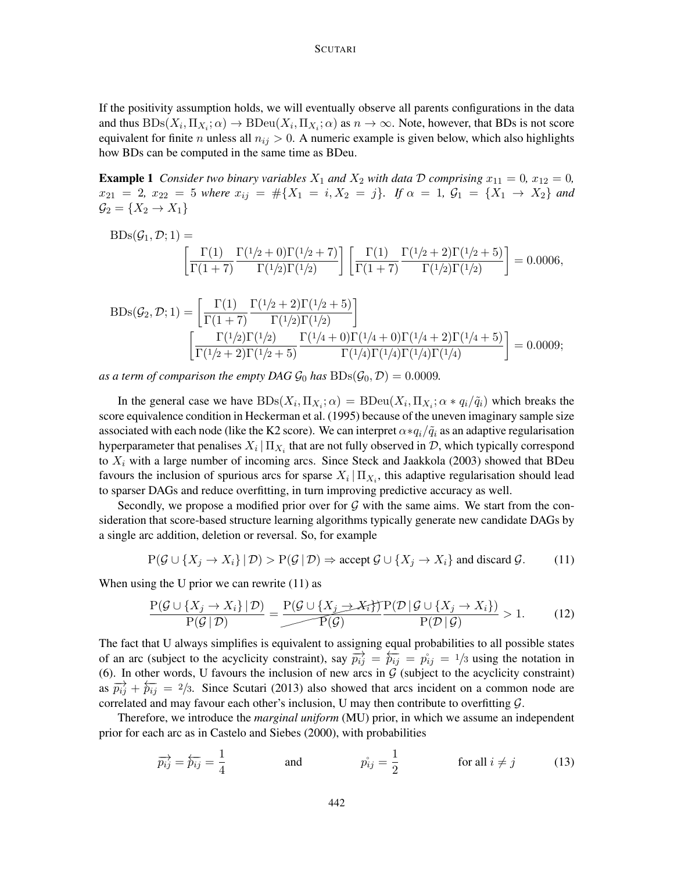If the positivity assumption holds, we will eventually observe all parents configurations in the data and thus  $BDS(X_i, \Pi_{X_i}; \alpha) \to BDeu(X_i, \Pi_{X_i}; \alpha)$  as  $n \to \infty$ . Note, however, that BDs is not score equivalent for finite *n* unless all  $n_{ij} > 0$ . A numeric example is given below, which also highlights how BDs can be computed in the same time as BDeu.

**Example 1** *Consider two binary variables*  $X_1$  *and*  $X_2$  *with data*  $D$  *comprising*  $x_{11} = 0$ *,*  $x_{12} = 0$ *,*  $x_{21} = 2, x_{22} = 5$  *where*  $x_{ij} = #\{X_1 = i, X_2 = j\}$ *. If*  $\alpha = 1, G_1 = \{X_1 \rightarrow X_2\}$  *and*  $\mathcal{G}_2 = \{X_2 \rightarrow X_1\}$ 

$$
BDs(\mathcal{G}_1, \mathcal{D}; 1) = \left[ \frac{\Gamma(1)}{\Gamma(1+7)} \frac{\Gamma(1/2+0)\Gamma(1/2+7)}{\Gamma(1/2)\Gamma(1/2)} \right] \left[ \frac{\Gamma(1)}{\Gamma(1+7)} \frac{\Gamma(1/2+2)\Gamma(1/2+5)}{\Gamma(1/2)\Gamma(1/2)} \right] = 0.0006,
$$

$$
BDs(\mathcal{G}_2, \mathcal{D}; 1) = \left[ \frac{\Gamma(1)}{\Gamma(1+7)} \frac{\Gamma(1/2+2)\Gamma(1/2+5)}{\Gamma(1/2)\Gamma(1/2)} \right]
$$

$$
\left[ \frac{\Gamma(1/2)\Gamma(1/2)}{\Gamma(1/2+2)\Gamma(1/2+5)} \frac{\Gamma(1/4+0)\Gamma(1/4+2)\Gamma(1/4+5)}{\Gamma(1/4)\Gamma(1/4)\Gamma(1/4)\Gamma(1/4)} \right] = 0.0009;
$$

as a term of comparison the empty DAG  $\mathcal{G}_0$  has  $BDs(\mathcal{G}_0, \mathcal{D}) = 0.0009$ .

In the general case we have  $BDS(X_i, \Pi_{X_i}; \alpha) = BDeu(X_i, \Pi_{X_i}; \alpha * q_i/\tilde{q}_i)$  which breaks the score equivalence condition in Heckerman et al. (1995) because of the uneven imaginary sample size associated with each node (like the K2 score). We can interpret  $\alpha * q_i / \tilde{q}_i$  as an adaptive regularisation hyperparameter that penalises  $X_i \,|\, \Pi_{X_i}$  that are not fully observed in  ${\cal D},$  which typically correspond to  $X_i$  with a large number of incoming arcs. Since Steck and Jaakkola (2003) showed that BDeu favours the inclusion of spurious arcs for sparse  $X_i | \Pi_{X_i}$ , this adaptive regularisation should lead to sparser DAGs and reduce overfitting, in turn improving predictive accuracy as well.

Secondly, we propose a modified prior over for  $\mathcal G$  with the same aims. We start from the consideration that score-based structure learning algorithms typically generate new candidate DAGs by a single arc addition, deletion or reversal. So, for example

$$
P(\mathcal{G} \cup \{X_j \to X_i\} | \mathcal{D}) > P(\mathcal{G} | \mathcal{D}) \Rightarrow \text{accept } \mathcal{G} \cup \{X_j \to X_i\} \text{ and discard } \mathcal{G}. \tag{11}
$$

When using the U prior we can rewrite (11) as

$$
\frac{P(\mathcal{G} \cup \{X_j \to X_i\} | \mathcal{D})}{P(\mathcal{G} | \mathcal{D})} = \frac{P(\mathcal{G} \cup \{X_j \to X_i\})}{P(\mathcal{G})} \frac{P(\mathcal{D} | \mathcal{G} \cup \{X_j \to X_i\})}{P(\mathcal{D} | \mathcal{G})} > 1.
$$
 (12)

The fact that U always simplifies is equivalent to assigning equal probabilities to all possible states of an arc (subject to the acyclicity constraint), say  $\overrightarrow{p_{ij}} = \overleftarrow{p_{ij}} = p_{ij} = 1/3$  using the notation in (6). In other words, U favours the inclusion of new arcs in  $G$  (subject to the acyclicity constraint) as  $\overrightarrow{p_{ij}} + \overleftarrow{p_{ij}} = \frac{2}{3}$ . Since Scutari (2013) also showed that arcs incident on a common node are correlated and may favour each other's inclusion, U may then contribute to overfitting  $\mathcal{G}$ .

Therefore, we introduce the *marginal uniform* (MU) prior, in which we assume an independent prior for each arc as in Castelo and Siebes (2000), with probabilities

$$
\overrightarrow{p_{ij}} = \overleftarrow{p_{ij}} = \frac{1}{4} \qquad \text{and} \qquad \overrightarrow{p_{ij}} = \frac{1}{2} \qquad \text{for all } i \neq j \qquad (13)
$$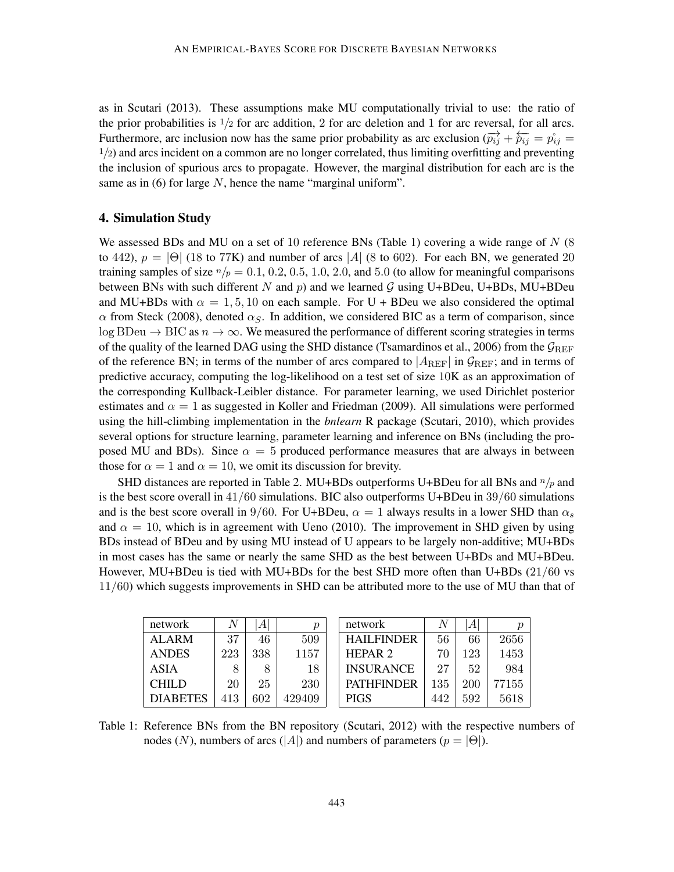as in Scutari (2013). These assumptions make MU computationally trivial to use: the ratio of the prior probabilities is  $1/2$  for arc addition, 2 for arc deletion and 1 for arc reversal, for all arcs. Furthermore, arc inclusion now has the same prior probability as arc exclusion  $(\vec{p}_{ij} + \vec{p}_{ij} = \vec{p}_{ij} =$  $1/2$ ) and arcs incident on a common are no longer correlated, thus limiting overfitting and preventing the inclusion of spurious arcs to propagate. However, the marginal distribution for each arc is the same as in  $(6)$  for large N, hence the name "marginal uniform".

## 4. Simulation Study

We assessed BDs and MU on a set of 10 reference BNs (Table 1) covering a wide range of  $N$  (8) to 442),  $p = |\Theta|$  (18 to 77K) and number of arcs |A| (8 to 602). For each BN, we generated 20 training samples of size  $n/p = 0.1, 0.2, 0.5, 1.0, 2.0,$  and 5.0 (to allow for meaningful comparisons between BNs with such different N and p) and we learned G using U+BDeu, U+BDs, MU+BDeu and MU+BDs with  $\alpha = 1, 5, 10$  on each sample. For U + BDeu we also considered the optimal  $\alpha$  from Steck (2008), denoted  $\alpha_{S}$ . In addition, we considered BIC as a term of comparison, since log BDeu  $\rightarrow$  BIC as  $n \rightarrow \infty$ . We measured the performance of different scoring strategies in terms of the quality of the learned DAG using the SHD distance (Tsamardinos et al., 2006) from the  $\mathcal{G}_{REF}$ of the reference BN; in terms of the number of arcs compared to  $|A_{REF}|$  in  $\mathcal{G}_{REF}$ ; and in terms of predictive accuracy, computing the log-likelihood on a test set of size 10K as an approximation of the corresponding Kullback-Leibler distance. For parameter learning, we used Dirichlet posterior estimates and  $\alpha = 1$  as suggested in Koller and Friedman (2009). All simulations were performed using the hill-climbing implementation in the *bnlearn* R package (Scutari, 2010), which provides several options for structure learning, parameter learning and inference on BNs (including the proposed MU and BDs). Since  $\alpha = 5$  produced performance measures that are always in between those for  $\alpha = 1$  and  $\alpha = 10$ , we omit its discussion for brevity.

SHD distances are reported in Table 2. MU+BDs outperforms U+BDeu for all BNs and  $n/p$  and is the best score overall in  $41/60$  simulations. BIC also outperforms U+BDeu in  $39/60$  simulations and is the best score overall in 9/60. For U+BDeu,  $\alpha = 1$  always results in a lower SHD than  $\alpha_s$ and  $\alpha = 10$ , which is in agreement with Ueno (2010). The improvement in SHD given by using BDs instead of BDeu and by using MU instead of U appears to be largely non-additive; MU+BDs in most cases has the same or nearly the same SHD as the best between U+BDs and MU+BDeu. However, MU+BDeu is tied with MU+BDs for the best SHD more often than U+BDs (21/60 vs 11/60) which suggests improvements in SHD can be attributed more to the use of MU than that of

| network         |     | A   | р      | network            |     | А   |       |
|-----------------|-----|-----|--------|--------------------|-----|-----|-------|
| ALARM           | 37  | 46  | 509    | <b>HAILFINDER</b>  | 56  | 66  | 2656  |
| <b>ANDES</b>    | 223 | 338 | 1157   | HEPAR <sub>2</sub> | 70  | 123 | 1453  |
| <b>ASIA</b>     | 8   | 8   | 18     | <b>INSURANCE</b>   | 27  | 52  | 984   |
| CHILD           | 20  | 25  | 230    | <b>PATHFINDER</b>  | 135 | 200 | 77155 |
| <b>DIABETES</b> | 413 | 602 | 429409 | <b>PIGS</b>        | 442 | 592 | 5618  |

Table 1: Reference BNs from the BN repository (Scutari, 2012) with the respective numbers of nodes (N), numbers of arcs (|A|) and numbers of parameters ( $p = |\Theta|$ ).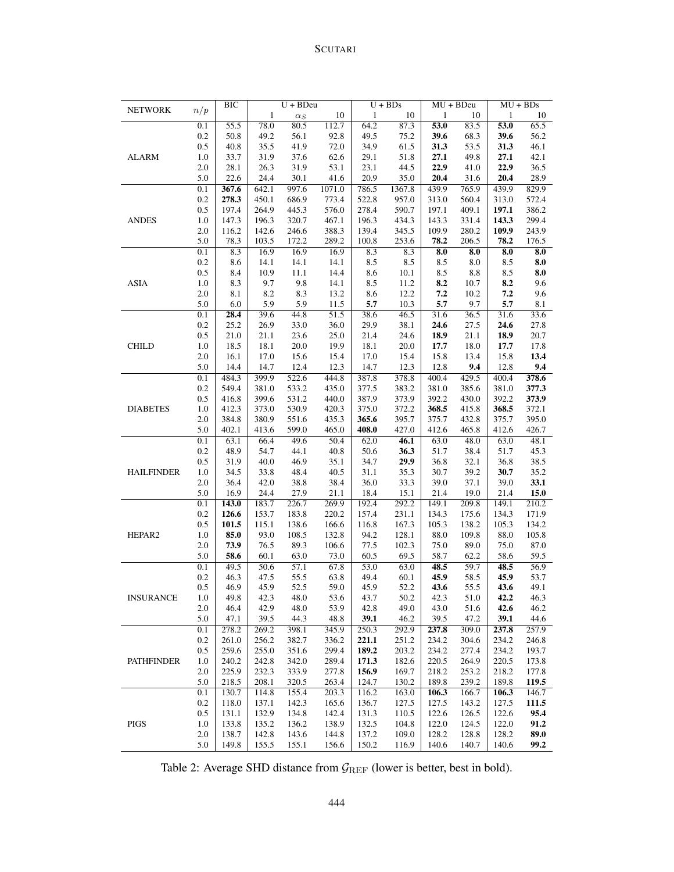# SCUTARI

| <b>NETWORK</b>    |                  | BIC   | $U + BDeu$ |            |                   |         | $U + BDs$ | $MU + BDeu$          |         | $MU + BDs$ |       |
|-------------------|------------------|-------|------------|------------|-------------------|---------|-----------|----------------------|---------|------------|-------|
|                   | n/p              |       | 1          | $\alpha_S$ | 10                | 1       | 10        | 1                    | 10      | 1          | 10    |
|                   | $0.1\,$          | 55.5  | 78.0       | 80.5       | 112.7             | 64.2    | 87.3      | 53.0                 | 83.5    | 53.0       | 65.5  |
|                   | $0.2\,$          | 50.8  | 49.2       | 56.1       | 92.8              | 49.5    | 75.2      | 39.6                 | 68.3    | 39.6       | 56.2  |
|                   | $0.5\,$          | 40.8  | 35.5       | 41.9       | 72.0              | 34.9    | 61.5      | 31.3                 | 53.5    | 31.3       | 46.1  |
| <b>ALARM</b>      | 1.0              | 33.7  | 31.9       | 37.6       | 62.6              | 29.1    | 51.8      | 27.1                 | 49.8    | 27.1       | 42.1  |
|                   | 2.0              | 28.1  | 26.3       | 31.9       | 53.1              | 23.1    | 44.5      | 22.9                 | 41.0    | 22.9       | 36.5  |
|                   | 5.0              | 22.6  | 24.4       | 30.1       | 41.6              | 20.9    | 35.0      | 20.4                 | 31.6    | 20.4       | 28.9  |
|                   | $\overline{0.1}$ | 367.6 | 642.1      | 997.6      | 1071.0            | 786.5   | 1367.8    | 439.9                | 765.9   | 439.9      | 829.9 |
|                   | 0.2              | 278.3 | 450.1      | 686.9      | 773.4             | 522.8   | 957.0     | 313.0                | 560.4   | 313.0      | 572.4 |
|                   | 0.5              | 197.4 | 264.9      | 445.3      | 576.0             | 278.4   | 590.7     | 197.1                | 409.1   | 197.1      | 386.2 |
| <b>ANDES</b>      | 1.0              | 147.3 | 196.3      | 320.7      | 467.1             | 196.3   | 434.3     | 143.3                | 331.4   | 143.3      | 299.4 |
|                   | 2.0              | 116.2 | 142.6      | 246.6      | 388.3             | 139.4   | 345.5     | 109.9                | 280.2   | 109.9      | 243.9 |
|                   | 5.0              | 78.3  | 103.5      | 172.2      | 289.2             | 100.8   | 253.6     | 78.2                 | 206.5   | 78.2       | 176.5 |
|                   | 0.1              | 8.3   | 16.9       | 16.9       | 16.9              | 8.3     | 8.3       | $\overline{\bf 8.0}$ | 8.0     | 8.0        | 8.0   |
|                   | $0.2\,$          | 8.6   | 14.1       | 14.1       | 14.1              | $8.5\,$ | 8.5       | 8.5                  | $8.0\,$ | 8.5        | 8.0   |
|                   | $0.5\,$          | 8.4   | 10.9       | 11.1       | 14.4              | $8.6\,$ | 10.1      | 8.5                  | $8.8\,$ | 8.5        | 8.0   |
| ASIA              | 1.0              | 8.3   | 9.7        | 9.8        | 14.1              | 8.5     | 11.2      | 8.2                  | 10.7    | 8.2        | 9.6   |
|                   | 2.0              | 8.1   | 8.2        | 8.3        | 13.2              | 8.6     | 12.2      | $\bf 7.2$            | 10.2    | 7.2        | 9.6   |
|                   | 5.0              | 6.0   | 5.9        | 5.9        | 11.5              | 5.7     | 10.3      | 5.7                  | 9.7     | 5.7        | 8.1   |
|                   | $\overline{0.1}$ | 28.4  | 39.6       | 44.8       | $\overline{51.5}$ | 38.6    | 46.5      | 31.6                 | 36.5    | 31.6       | 33.6  |
|                   | $0.2\,$          | 25.2  | 26.9       | 33.0       | 36.0              | 29.9    | 38.1      | 24.6                 | 27.5    | 24.6       | 27.8  |
|                   | 0.5              | 21.0  | 21.1       | 23.6       | 25.0              | 21.4    | 24.6      | 18.9                 | 21.1    | 18.9       | 20.7  |
| <b>CHILD</b>      | 1.0              | 18.5  | 18.1       | 20.0       | 19.9              | 18.1    | 20.0      | 17.7                 | 18.0    | 17.7       | 17.8  |
|                   | 2.0              | 16.1  | 17.0       | 15.6       | 15.4              | 17.0    | 15.4      | 15.8                 | 13.4    | 15.8       | 13.4  |
|                   | 5.0              | 14.4  | 14.7       | 12.4       | 12.3              | 14.7    | 12.3      | 12.8                 | 9.4     | 12.8       | 9.4   |
|                   | 0.1              | 484.3 | 399.9      | 522.6      | 444.8             | 387.8   | 378.8     | 400.4                | 429.5   | 400.4      | 378.6 |
| <b>DIABETES</b>   | 0.2              | 549.4 | 381.0      | 533.2      | 435.0             | 377.5   | 383.2     | 381.0                | 385.6   | 381.0      | 377.3 |
|                   | 0.5              | 416.8 | 399.6      | 531.2      | 440.0             | 387.9   | 373.9     | 392.2                | 430.0   | 392.2      | 373.9 |
|                   | 1.0              | 412.3 | 373.0      | 530.9      | 420.3             | 375.0   | 372.2     | 368.5                | 415.8   | 368.5      | 372.1 |
|                   | 2.0              | 384.8 | 380.9      | 551.6      | 435.3             | 365.6   | 395.7     | 375.7                | 432.8   | 375.7      | 395.0 |
|                   | 5.0              | 402.1 | 413.6      | 599.0      | 465.0             | 408.0   | 427.0     | 412.6                | 465.8   | 412.6      | 426.7 |
|                   | 0.1              | 63.1  | 66.4       | 49.6       | 50.4              | 62.0    | 46.1      | 63.0                 | 48.0    | 63.0       | 48.1  |
|                   | $0.2\,$          | 48.9  | 54.7       | 44.1       | 40.8              | 50.6    | 36.3      | 51.7                 | 38.4    | 51.7       | 45.3  |
|                   | 0.5              | 31.9  | 40.0       | 46.9       | 35.1              | 34.7    | 29.9      | 36.8                 | 32.1    | 36.8       | 38.5  |
| <b>HAILFINDER</b> | 1.0              | 34.5  | 33.8       | 48.4       | 40.5              | 31.1    | 35.3      | 30.7                 | 39.2    | 30.7       | 35.2  |
|                   | 2.0              | 36.4  | 42.0       | 38.8       | 38.4              | 36.0    | 33.3      | 39.0                 | 37.1    | 39.0       | 33.1  |
|                   | 5.0              | 16.9  | 24.4       | 27.9       | 21.1              | 18.4    | 15.1      | 21.4                 | 19.0    | 21.4       | 15.0  |
|                   | 0.1              | 143.0 | 183.7      | 226.7      | 269.9             | 192.4   | 292.2     | 149.1                | 209.8   | 149.1      | 210.2 |
|                   | 0.2              | 126.6 | 153.7      | 183.8      | 220.2             | 157.4   | 231.1     | 134.3                | 175.6   | 134.3      | 171.9 |
|                   | 0.5              | 101.5 | 115.1      | 138.6      | 166.6             | 116.8   | 167.3     | 105.3                | 138.2   | 105.3      | 134.2 |
| HEPAR2            | 1.0              | 85.0  | 93.0       | 108.5      | 132.8             | 94.2    | 128.1     | 88.0                 | 109.8   | 88.0       | 105.8 |
|                   | 2.0              | 73.9  | 76.5       | 89.3       | 106.6             | 77.5    | 102.3     | 75.0                 | 89.0    | 75.0       | 87.0  |
|                   | 5.0              | 58.6  | 60.1       | 63.0       | 73.0              | 60.5    | 69.5      | 58.7                 | 62.2    | 58.6       | 59.5  |
|                   | 0.1              | 49.5  | 50.6       | 57.1       | 67.8              | 53.0    | 63.0      | 48.5                 | 59.7    | 48.5       | 56.9  |
|                   | 0.2              | 46.3  | 47.5       | 55.5       | 63.8              | 49.4    | 60.1      | 45.9                 | 58.5    | 45.9       | 53.7  |
|                   | 0.5              | 46.9  | 45.9       | 52.5       | 59.0              | 45.9    | 52.2      | 43.6                 | 55.5    | 43.6       | 49.1  |
| <b>INSURANCE</b>  | 1.0              | 49.8  | 42.3       | 48.0       | 53.6              | 43.7    | 50.2      | 42.3                 | 51.0    | 42.2       | 46.3  |
|                   | 2.0              | 46.4  | 42.9       | 48.0       | 53.9              | 42.8    | 49.0      | 43.0                 | 51.6    | 42.6       | 46.2  |
|                   | 5.0              | 47.1  | 39.5       | 44.3       | 48.8              | 39.1    | 46.2      | 39.5                 | 47.2    | 39.1       | 44.6  |
|                   | 0.1              | 278.2 | 269.2      | 398.1      | 345.9             | 250.3   | 292.9     | 237.8                | 309.0   | 237.8      | 257.9 |
| <b>PATHFINDER</b> | 0.2              | 261.0 | 256.2      | 382.7      | 336.2             | 221.1   | 251.2     | 234.2                | 304.6   | 234.2      | 246.8 |
|                   | $0.5\,$          | 259.6 | 255.0      | 351.6      | 299.4             | 189.2   | 203.2     | 234.2                | 277.4   | 234.2      | 193.7 |
|                   | $1.0\,$          | 240.2 | 242.8      | 342.0      | 289.4             | 171.3   | 182.6     | 220.5                | 264.9   | 220.5      | 173.8 |
|                   | 2.0              | 225.9 | 232.3      | 333.9      | 277.8             | 156.9   | 169.7     | 218.2                | 253.2   | 218.2      | 177.8 |
|                   | 5.0              | 218.5 | 208.1      | 320.5      | 263.4             | 124.7   | 130.2     | 189.8                | 239.2   | 189.8      | 119.5 |
|                   | 0.1              | 130.7 | 114.8      | 155.4      | 203.3             | 116.2   | 163.0     | 106.3                | 166.7   | 106.3      | 146.7 |
|                   | 0.2              | 118.0 | 137.1      | 142.3      | 165.6             | 136.7   | 127.5     | 127.5                | 143.2   | 127.5      | 111.5 |
|                   | $0.5\,$          | 131.1 | 132.9      | 134.8      | 142.4             | 131.3   | 110.5     | 122.6                | 126.5   | 122.6      | 95.4  |
| PIGS              | 1.0              | 133.8 | 135.2      | 136.2      | 138.9             | 132.5   | 104.8     | 122.0                | 124.5   | 122.0      | 91.2  |
|                   | 2.0              | 138.7 | 142.8      | 143.6      | 144.8             | 137.2   | 109.0     | 128.2                | 128.8   | 128.2      | 89.0  |
|                   | 5.0              | 149.8 | 155.5      | 155.1      | 156.6             | 150.2   | 116.9     | 140.6                | 140.7   | 140.6      | 99.2  |

Table 2: Average SHD distance from  $\mathcal{G}_{REF}$  (lower is better, best in bold).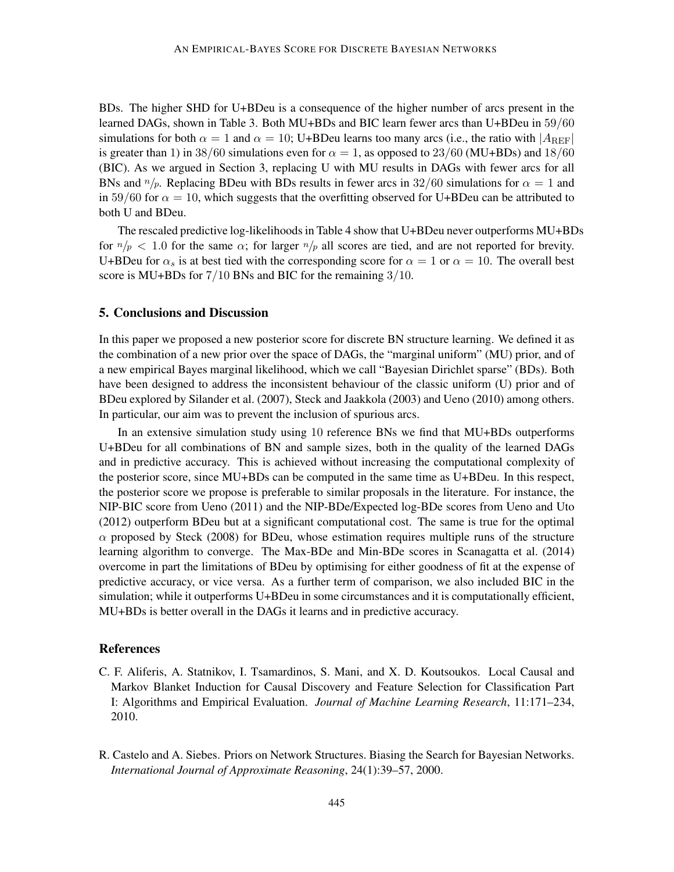BDs. The higher SHD for U+BDeu is a consequence of the higher number of arcs present in the learned DAGs, shown in Table 3. Both MU+BDs and BIC learn fewer arcs than U+BDeu in 59/60 simulations for both  $\alpha = 1$  and  $\alpha = 10$ ; U+BDeu learns too many arcs (i.e., the ratio with  $|A_{\text{REF}}|$ is greater than 1) in 38/60 simulations even for  $\alpha = 1$ , as opposed to 23/60 (MU+BDs) and 18/60 (BIC). As we argued in Section 3, replacing U with MU results in DAGs with fewer arcs for all BNs and  $n/p$ . Replacing BDeu with BDs results in fewer arcs in 32/60 simulations for  $\alpha = 1$  and in 59/60 for  $\alpha = 10$ , which suggests that the overfitting observed for U+BDeu can be attributed to both U and BDeu.

The rescaled predictive log-likelihoods in Table 4 show that U+BDeu never outperforms MU+BDs for  $n/p < 1.0$  for the same  $\alpha$ ; for larger  $n/p$  all scores are tied, and are not reported for brevity. U+BDeu for  $\alpha_s$  is at best tied with the corresponding score for  $\alpha = 1$  or  $\alpha = 10$ . The overall best score is MU+BDs for  $7/10$  BNs and BIC for the remaining  $3/10$ .

### 5. Conclusions and Discussion

In this paper we proposed a new posterior score for discrete BN structure learning. We defined it as the combination of a new prior over the space of DAGs, the "marginal uniform" (MU) prior, and of a new empirical Bayes marginal likelihood, which we call "Bayesian Dirichlet sparse" (BDs). Both have been designed to address the inconsistent behaviour of the classic uniform (U) prior and of BDeu explored by Silander et al. (2007), Steck and Jaakkola (2003) and Ueno (2010) among others. In particular, our aim was to prevent the inclusion of spurious arcs.

In an extensive simulation study using 10 reference BNs we find that MU+BDs outperforms U+BDeu for all combinations of BN and sample sizes, both in the quality of the learned DAGs and in predictive accuracy. This is achieved without increasing the computational complexity of the posterior score, since MU+BDs can be computed in the same time as U+BDeu. In this respect, the posterior score we propose is preferable to similar proposals in the literature. For instance, the NIP-BIC score from Ueno (2011) and the NIP-BDe/Expected log-BDe scores from Ueno and Uto (2012) outperform BDeu but at a significant computational cost. The same is true for the optimal  $\alpha$  proposed by Steck (2008) for BDeu, whose estimation requires multiple runs of the structure learning algorithm to converge. The Max-BDe and Min-BDe scores in Scanagatta et al. (2014) overcome in part the limitations of BDeu by optimising for either goodness of fit at the expense of predictive accuracy, or vice versa. As a further term of comparison, we also included BIC in the simulation; while it outperforms U+BDeu in some circumstances and it is computationally efficient, MU+BDs is better overall in the DAGs it learns and in predictive accuracy.

### References

- C. F. Aliferis, A. Statnikov, I. Tsamardinos, S. Mani, and X. D. Koutsoukos. Local Causal and Markov Blanket Induction for Causal Discovery and Feature Selection for Classification Part I: Algorithms and Empirical Evaluation. *Journal of Machine Learning Research*, 11:171–234, 2010.
- R. Castelo and A. Siebes. Priors on Network Structures. Biasing the Search for Bayesian Networks. *International Journal of Approximate Reasoning*, 24(1):39–57, 2000.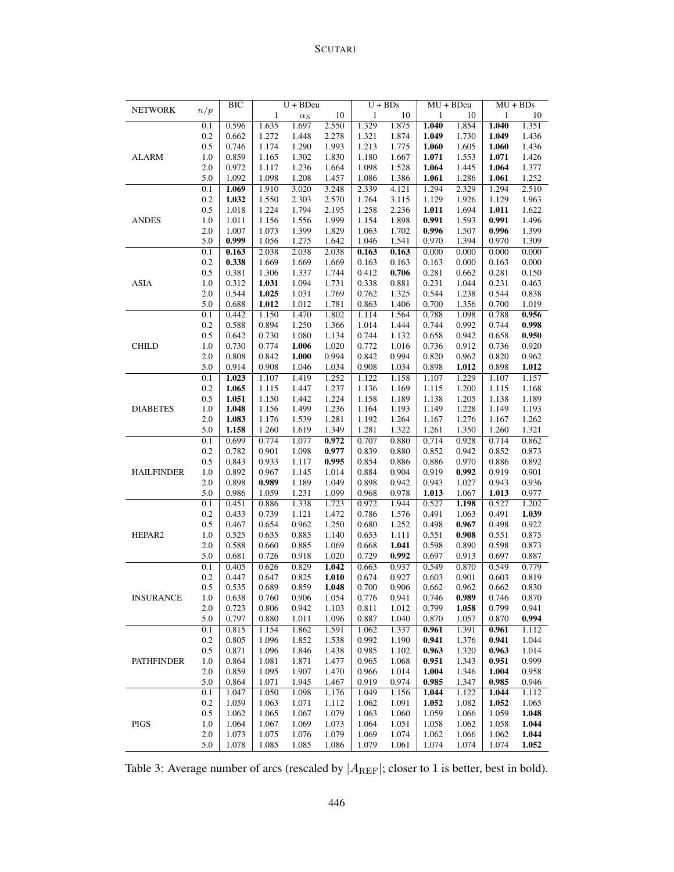# SCUTARI

| <b>NETWORK</b>    |         | BIC   |              | $U + BDeu$ |       |              | $U + BDs$ |       | MU + BDeu |              | $MU + BDs$ |
|-------------------|---------|-------|--------------|------------|-------|--------------|-----------|-------|-----------|--------------|------------|
|                   | n/p     |       | $\mathbf{1}$ | $\alpha_S$ | 10    | $\mathbf{1}$ | 10        | 1     | 10        | $\mathbf{1}$ | 10         |
|                   | 0.1     | 0.596 | 1.635        | 1.697      | 2.550 | 1.329        | 1.875     | 1.040 | 1.854     | 1.040        | 1.351      |
| <b>ALARM</b>      | 0.2     | 0.662 | 1.272        | 1.448      | 2.278 | 1.321        | 1.874     | 1.049 | 1.730     | 1.049        | 1.436      |
|                   | 0.5     | 0.746 | 1.174        | 1.290      | 1.993 | 1.213        | 1.775     | 1.060 | 1.605     | 1.060        | 1.436      |
|                   | $1.0\,$ | 0.859 | 1.165        | 1.302      | 1.830 | 1.180        | 1.667     | 1.071 | 1.553     | 1.071        | 1.426      |
|                   | 2.0     | 0.972 | 1.117        | 1.236      | 1.664 | 1.098        | 1.528     | 1.064 | 1.445     | 1.064        | 1.377      |
|                   | 5.0     | 1.092 | 1.098        | 1.208      | 1.457 | 1.086        | 1.386     | 1.061 | 1.286     | 1.061        | 1.252      |
|                   | 0.1     | 1.069 | 1.910        | 3.020      | 3.248 | 2.339        | 4.121     | 1.294 | 2.329     | 1.294        | 2.510      |
|                   | 0.2     | 1.032 | 1.550        | 2.303      | 2.570 | 1.764        | 3.115     | 1.129 | 1.926     | 1.129        | 1.963      |
| <b>ANDES</b>      | 0.5     | 1.018 | 1.224        | 1.794      | 2.195 | 1.258        | 2.236     | 1.011 | 1.694     | 1.011        | 1.622      |
|                   | 1.0     | 1.011 | 1.156        | 1.556      | 1.999 | 1.154        | 1.898     | 0.991 | 1.593     | 0.991        | 1.496      |
|                   | 2.0     | 1.007 | 1.073        | 1.399      | 1.829 | 1.063        | 1.702     | 0.996 | 1.507     | 0.996        | 1.399      |
|                   | 5.0     | 0.999 | 1.056        | 1.275      | 1.642 | 1.046        | 1.541     | 0.970 | 1.394     | 0.970        | 1.309      |
|                   | 0.1     | 0.163 | 2.038        | 2.038      | 2.038 | 0.163        | 0.163     | 0.000 | 0.000     | 0.000        | 0.000      |
|                   | 0.2     | 0.338 | 1.669        | 1.669      | 1.669 | 0.163        | 0.163     | 0.163 | 0.000     | 0.163        | 0.000      |
|                   | 0.5     | 0.381 | 1.306        | 1.337      | 1.744 | 0.412        | 0.706     | 0.281 | 0.662     | 0.281        | 0.150      |
| ASIA              | 1.0     | 0.312 | 1.031        | 1.094      | 1.731 | 0.338        | 0.881     | 0.231 | 1.044     | 0.231        | 0.463      |
|                   | 2.0     | 0.544 | 1.025        | 1.031      | 1.769 | 0.762        | 1.325     | 0.544 | 1.238     | 0.544        | 0.838      |
|                   | 5.0     | 0.688 | 1.012        | 1.012      | 1.781 | 0.863        | 1.406     | 0.700 | 1.356     | 0.700        | 1.019      |
|                   | 0.1     | 0.442 | 1.150        | 1.470      | 1.802 | 1.114        | 1.564     | 0.788 | 1.098     | 0.788        | 0.956      |
|                   | 0.2     | 0.588 | 0.894        | 1.250      | 1.366 | 1.014        | 1.444     | 0.744 | 0.992     | 0.744        | 0.998      |
|                   | 0.5     | 0.642 | 0.730        | 1.080      | 1.134 | 0.744        | 1.132     | 0.658 | 0.942     | 0.658        | 0.950      |
| <b>CHILD</b>      | 1.0     | 0.730 | 0.774        | 1.006      | 1.020 | 0.772        | 1.016     | 0.736 | 0.912     | 0.736        | 0.920      |
|                   | 2.0     | 0.808 | 0.842        | 1.000      | 0.994 | 0.842        | 0.994     | 0.820 | 0.962     | 0.820        | 0.962      |
|                   | 5.0     | 0.914 | 0.908        | 1.046      | 1.034 | 0.908        | 1.034     | 0.898 | 1.012     | 0.898        | 1.012      |
|                   | 0.1     | 1.023 | 1.107        | 1.419      | 1.252 | 1.122        | 1.158     | 1.107 | 1.229     | 1.107        | 1.157      |
|                   | 0.2     | 1.065 | 1.115        | 1.447      | 1.237 | 1.136        | 1.169     | 1.115 | 1.200     | 1.115        | 1.168      |
|                   | 0.5     | 1.051 | 1.150        | 1.442      | 1.224 | 1.158        | 1.189     | 1.138 | 1.205     | 1.138        | 1.189      |
| <b>DIABETES</b>   | 1.0     | 1.048 | 1.156        | 1.499      | 1.236 | 1.164        | 1.193     | 1.149 | 1.228     | 1.149        | 1.193      |
|                   | 2.0     | 1.083 | 1.176        | 1.539      | 1.281 | 1.192        | 1.264     | 1.167 | 1.276     | 1.167        | 1.262      |
|                   | 5.0     | 1.158 | 1.260        | 1.619      | 1.349 | 1.281        | 1.322     | 1.261 | 1.350     | 1.260        | 1.321      |
|                   | 0.1     | 0.699 | 0.774        | 1.077      | 0.972 | 0.707        | 0.880     | 0.714 | 0.928     | 0.714        | 0.862      |
|                   | 0.2     | 0.782 | 0.901        | 1.098      | 0.977 | 0.839        | 0.880     | 0.852 | 0.942     | 0.852        | 0.873      |
|                   | 0.5     | 0.843 | 0.933        | 1.117      | 0.995 | 0.854        | 0.886     | 0.886 | 0.970     | 0.886        | 0.892      |
| <b>HAILFINDER</b> | 1.0     | 0.892 | 0.967        | 1.145      | 1.014 | 0.884        | 0.904     | 0.919 | 0.992     | 0.919        | 0.901      |
|                   | 2.0     | 0.898 | 0.989        | 1.189      | 1.049 | 0.898        | 0.942     | 0.943 | 1.027     | 0.943        | 0.936      |
|                   | 5.0     | 0.986 | 1.059        | 1.231      | 1.099 | 0.968        | 0.978     | 1.013 | 1.067     | 1.013        | 0.977      |
|                   | 0.1     | 0.451 | 0.886        | 1.338      | 1.723 | 0.972        | 1.944     | 0.527 | 1.198     | 0.527        | 1.202      |
|                   | 0.2     | 0.433 | 0.739        | 1.121      | 1.472 | 0.786        | 1.576     | 0.491 | 1.063     | 0.491        | 1.039      |
|                   | 0.5     | 0.467 | 0.654        | 0.962      | 1.250 | 0.680        | 1.252     | 0.498 | 0.967     | 0.498        | 0.922      |
| HEPAR2            | 1.0     | 0.525 | 0.635        | 0.885      | 1.140 | 0.653        | 1.111     | 0.551 | 0.908     | 0.551        | 0.875      |
|                   | 2.0     | 0.588 | 0.660        | 0.885      | 1.069 | 0.668        | 1.041     | 0.598 | 0.890     | 0.598        | 0.873      |
|                   | 5.0     | 0.681 | 0.726        | 0.918      | 1.020 | 0.729        | 0.992     | 0.697 | 0.913     | 0.697        | 0.887      |
|                   | 0.1     | 0.405 | 0.626        | 0.829      | 1.042 | 0.663        | 0.937     | 0.549 | 0.870     | 0.549        | 0.779      |
|                   | 0.2     | 0.447 | 0.647        | 0.825      | 1.010 | 0.674        | 0.927     | 0.603 | 0.901     | 0.603        | 0.819      |
|                   | 0.5     | 0.535 | 0.689        | 0.859      | 1.048 | 0.700        | 0.906     | 0.662 | 0.962     | 0.662        | 0.830      |
| <b>INSURANCE</b>  | $1.0\,$ | 0.638 | 0.760        | 0.906      | 1.054 | 0.776        | 0.941     | 0.746 | 0.989     | 0.746        | 0.870      |
|                   | 2.0     | 0.723 | 0.806        | 0.942      | 1.103 | 0.811        | 1.012     | 0.799 | 1.058     | 0.799        | 0.941      |
|                   | 5.0     | 0.797 | 0.880        | 1.011      | 1.096 | 0.887        | 1.040     | 0.870 | 1.057     | 0.870        | 0.994      |
| <b>PATHFINDER</b> | 0.1     | 0.815 | 1.154        | 1.862      | 1.591 | 1.062        | 1.337     | 0.961 | 1.391     | 0.961        | 1.112      |
|                   | 0.2     | 0.805 | 1.096        | 1.852      | 1.538 | 0.992        | 1.190     | 0.941 | 1.376     | 0.941        | 1.044      |
|                   | 0.5     | 0.871 | 1.096        | 1.846      | 1.438 | 0.985        | 1.102     | 0.963 | 1.320     | 0.963        | 1.014      |
|                   | 1.0     | 0.864 | 1.081        | 1.871      | 1.477 | 0.965        | 1.068     | 0.951 | 1.343     | 0.951        | 0.999      |
|                   | $2.0\,$ | 0.859 | 1.095        | 1.907      | 1.470 | 0.966        | 1.014     | 1.004 | 1.346     | 1.004        | 0.958      |
|                   | 5.0     | 0.864 | 1.071        | 1.945      | 1.467 | 0.919        | 0.974     | 0.985 | 1.347     | 0.985        | 0.946      |
|                   | 0.1     | 1.047 | 1.050        | 1.098      | 1.176 | 1.049        | 1.156     | 1.044 | 1.122     | 1.044        | 1.112      |
|                   | 0.2     | 1.059 | 1.063        | 1.071      | 1.112 | 1.062        | 1.091     | 1.052 | 1.082     | 1.052        | 1.065      |
|                   | 0.5     | 1.062 | 1.065        | 1.067      | 1.079 | 1.063        | 1.060     | 1.059 | 1.066     | 1.059        | 1.048      |
| PIGS              | 1.0     | 1.064 | 1.067        | 1.069      | 1.073 | 1.064        | 1.051     | 1.058 | 1.062     | 1.058        | 1.044      |
|                   | 2.0     | 1.073 | 1.075        | 1.076      | 1.079 | 1.069        | 1.074     | 1.062 | 1.066     | 1.062        | 1.044      |
|                   | 5.0     | 1.078 | 1.085        | 1.085      | 1.086 | 1.079        | 1.061     | 1.074 | 1.074     | 1.074        | 1.052      |

Table 3: Average number of arcs (rescaled by  $|A_{REF}|$ ; closer to 1 is better, best in bold).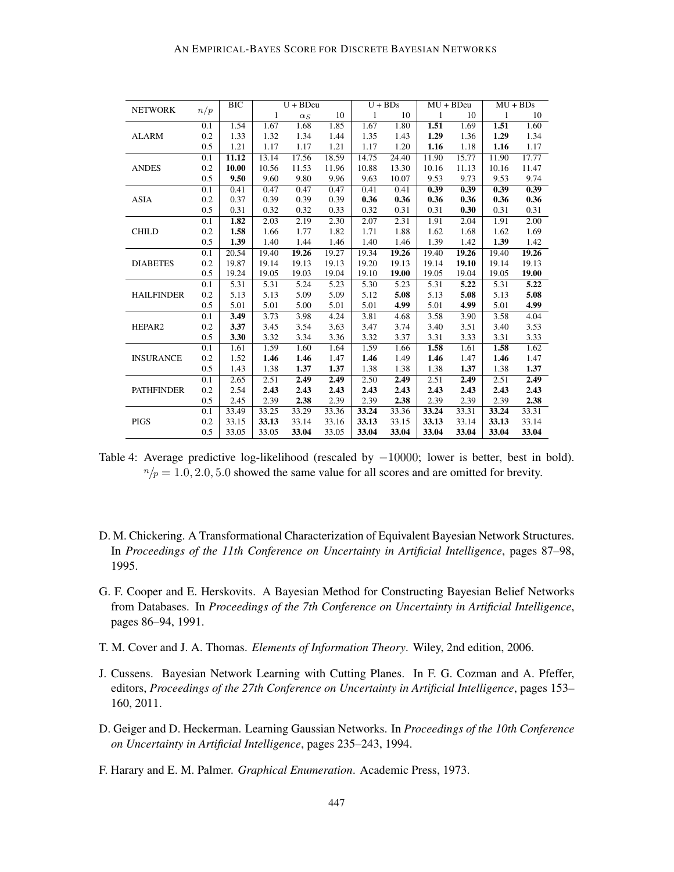| <b>NETWORK</b>    | n/p | BIC   |       | $U + BDeu$ |       | $U + BDs$ |       | $MU + BDeu$ |                   | $MU + BDs$ |                   |
|-------------------|-----|-------|-------|------------|-------|-----------|-------|-------------|-------------------|------------|-------------------|
|                   |     |       | 1     | $\alpha_S$ | 10    | 1         | 10    | 1           | 10                | 1          | 10                |
| <b>ALARM</b>      | 0.1 | 1.54  | 1.67  | 1.68       | 1.85  | 1.67      | 1.80  | 1.51        | 1.69              | 1.51       | 1.60              |
|                   | 0.2 | 1.33  | 1.32  | 1.34       | 1.44  | 1.35      | 1.43  | 1.29        | 1.36              | 1.29       | 1.34              |
|                   | 0.5 | 1.21  | 1.17  | 1.17       | 1.21  | 1.17      | 1.20  | 1.16        | 1.18              | 1.16       | 1.17              |
| <b>ANDES</b>      | 0.1 | 11.12 | 13.14 | 17.56      | 18.59 | 14.75     | 24.40 | 11.90       | 15.77             | 11.90      | 17.77             |
|                   | 0.2 | 10.00 | 10.56 | 11.53      | 11.96 | 10.88     | 13.30 | 10.16       | 11.13             | 10.16      | 11.47             |
|                   | 0.5 | 9.50  | 9.60  | 9.80       | 9.96  | 9.63      | 10.07 | 9.53        | 9.73              | 9.53       | 9.74              |
|                   | 0.1 | 0.41  | 0.47  | 0.47       | 0.47  | 0.41      | 0.41  | 0.39        | 0.39              | 0.39       | 0.39              |
| <b>ASIA</b>       | 0.2 | 0.37  | 0.39  | 0.39       | 0.39  | 0.36      | 0.36  | 0.36        | 0.36              | 0.36       | 0.36              |
|                   | 0.5 | 0.31  | 0.32  | 0.32       | 0.33  | 0.32      | 0.31  | 0.31        | 0.30              | 0.31       | 0.31              |
|                   | 0.1 | 1.82  | 2.03  | 2.19       | 2.30  | 2.07      | 2.31  | 1.91        | 2.04              | 1.91       | 2.00              |
| <b>CHILD</b>      | 0.2 | 1.58  | 1.66  | 1.77       | 1.82  | 1.71      | 1.88  | 1.62        | 1.68              | 1.62       | 1.69              |
|                   | 0.5 | 1.39  | 1.40  | 1.44       | 1.46  | 1.40      | 1.46  | 1.39        | 1.42              | 1.39       | 1.42              |
| <b>DIABETES</b>   | 0.1 | 20.54 | 19.40 | 19.26      | 19.27 | 19.34     | 19.26 | 19.40       | 19.26             | 19.40      | 19.26             |
|                   | 0.2 | 19.87 | 19.14 | 19.13      | 19.13 | 19.20     | 19.13 | 19.14       | 19.10             | 19.14      | 19.13             |
|                   | 0.5 | 19.24 | 19.05 | 19.03      | 19.04 | 19.10     | 19.00 | 19.05       | 19.04             | 19.05      | 19.00             |
|                   | 0.1 | 5.31  | 5.31  | 5.24       | 5.23  | 5.30      | 5.23  | 5.31        | $\overline{5.22}$ | 5.31       | $\overline{5.22}$ |
| <b>HAILFINDER</b> | 0.2 | 5.13  | 5.13  | 5.09       | 5.09  | 5.12      | 5.08  | 5.13        | 5.08              | 5.13       | 5.08              |
|                   | 0.5 | 5.01  | 5.01  | 5.00       | 5.01  | 5.01      | 4.99  | 5.01        | 4.99              | 5.01       | 4.99              |
|                   | 0.1 | 3.49  | 3.73  | 3.98       | 4.24  | 3.81      | 4.68  | 3.58        | 3.90              | 3.58       | 4.04              |
| HEPAR2            | 0.2 | 3.37  | 3.45  | 3.54       | 3.63  | 3.47      | 3.74  | 3.40        | 3.51              | 3.40       | 3.53              |
|                   | 0.5 | 3.30  | 3.32  | 3.34       | 3.36  | 3.32      | 3.37  | 3.31        | 3.33              | 3.31       | 3.33              |
|                   | 0.1 | 1.61  | 1.59  | 1.60       | 1.64  | 1.59      | 1.66  | 1.58        | 1.61              | 1.58       | 1.62              |
| <b>INSURANCE</b>  | 0.2 | 1.52  | 1.46  | 1.46       | 1.47  | 1.46      | 1.49  | 1.46        | 1.47              | 1.46       | 1.47              |
|                   | 0.5 | 1.43  | 1.38  | 1.37       | 1.37  | 1.38      | 1.38  | 1.38        | 1.37              | 1.38       | 1.37              |
| <b>PATHFINDER</b> | 0.1 | 2.65  | 2.51  | 2.49       | 2.49  | 2.50      | 2.49  | 2.51        | 2.49              | 2.51       | 2.49              |
|                   | 0.2 | 2.54  | 2.43  | 2.43       | 2.43  | 2.43      | 2.43  | 2.43        | 2.43              | 2.43       | 2.43              |
|                   | 0.5 | 2.45  | 2.39  | 2.38       | 2.39  | 2.39      | 2.38  | 2.39        | 2.39              | 2.39       | 2.38              |
|                   | 0.1 | 33.49 | 33.25 | 33.29      | 33.36 | 33.24     | 33.36 | 33.24       | 33.31             | 33.24      | 33.31             |
| <b>PIGS</b>       | 0.2 | 33.15 | 33.13 | 33.14      | 33.16 | 33.13     | 33.15 | 33.13       | 33.14             | 33.13      | 33.14             |
|                   | 0.5 | 33.05 | 33.05 | 33.04      | 33.05 | 33.04     | 33.04 | 33.04       | 33.04             | 33.04      | 33.04             |

Table 4: Average predictive log-likelihood (rescaled by  $-10000$ ; lower is better, best in bold).  $n/p = 1.0, 2.0, 5.0$  showed the same value for all scores and are omitted for brevity.

- D. M. Chickering. A Transformational Characterization of Equivalent Bayesian Network Structures. In *Proceedings of the 11th Conference on Uncertainty in Artificial Intelligence*, pages 87–98, 1995.
- G. F. Cooper and E. Herskovits. A Bayesian Method for Constructing Bayesian Belief Networks from Databases. In *Proceedings of the 7th Conference on Uncertainty in Artificial Intelligence*, pages 86–94, 1991.
- T. M. Cover and J. A. Thomas. *Elements of Information Theory*. Wiley, 2nd edition, 2006.
- J. Cussens. Bayesian Network Learning with Cutting Planes. In F. G. Cozman and A. Pfeffer, editors, *Proceedings of the 27th Conference on Uncertainty in Artificial Intelligence*, pages 153– 160, 2011.
- D. Geiger and D. Heckerman. Learning Gaussian Networks. In *Proceedings of the 10th Conference on Uncertainty in Artificial Intelligence*, pages 235–243, 1994.
- F. Harary and E. M. Palmer. *Graphical Enumeration*. Academic Press, 1973.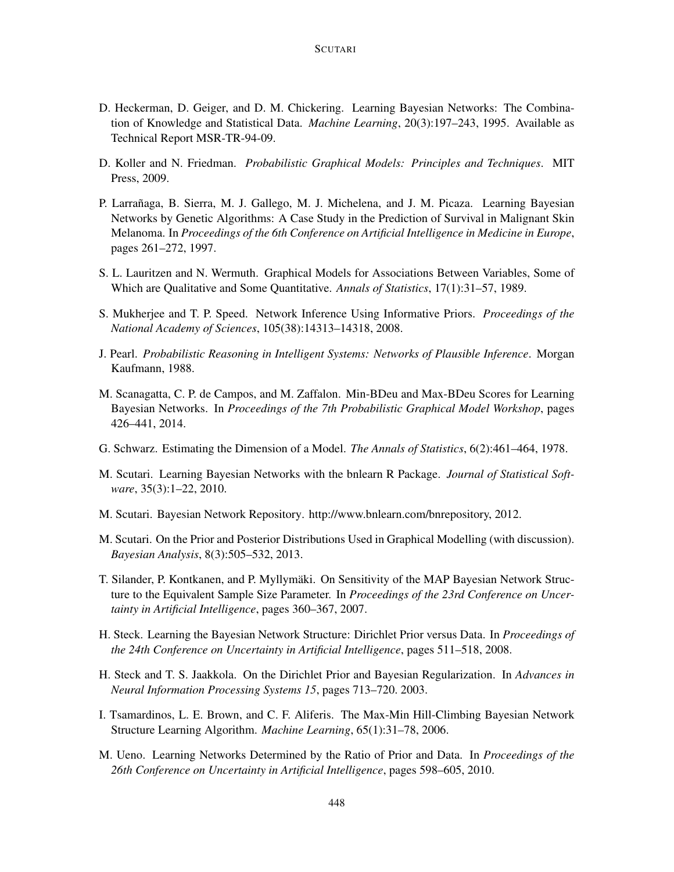- D. Heckerman, D. Geiger, and D. M. Chickering. Learning Bayesian Networks: The Combination of Knowledge and Statistical Data. *Machine Learning*, 20(3):197–243, 1995. Available as Technical Report MSR-TR-94-09.
- D. Koller and N. Friedman. *Probabilistic Graphical Models: Principles and Techniques*. MIT Press, 2009.
- P. Larrañaga, B. Sierra, M. J. Gallego, M. J. Michelena, and J. M. Picaza. Learning Bayesian Networks by Genetic Algorithms: A Case Study in the Prediction of Survival in Malignant Skin Melanoma. In *Proceedings of the 6th Conference on Artificial Intelligence in Medicine in Europe*, pages 261–272, 1997.
- S. L. Lauritzen and N. Wermuth. Graphical Models for Associations Between Variables, Some of Which are Qualitative and Some Quantitative. *Annals of Statistics*, 17(1):31–57, 1989.
- S. Mukherjee and T. P. Speed. Network Inference Using Informative Priors. *Proceedings of the National Academy of Sciences*, 105(38):14313–14318, 2008.
- J. Pearl. *Probabilistic Reasoning in Intelligent Systems: Networks of Plausible Inference*. Morgan Kaufmann, 1988.
- M. Scanagatta, C. P. de Campos, and M. Zaffalon. Min-BDeu and Max-BDeu Scores for Learning Bayesian Networks. In *Proceedings of the 7th Probabilistic Graphical Model Workshop*, pages 426–441, 2014.
- G. Schwarz. Estimating the Dimension of a Model. *The Annals of Statistics*, 6(2):461–464, 1978.
- M. Scutari. Learning Bayesian Networks with the bnlearn R Package. *Journal of Statistical Software*, 35(3):1–22, 2010.
- M. Scutari. Bayesian Network Repository. http://www.bnlearn.com/bnrepository, 2012.
- M. Scutari. On the Prior and Posterior Distributions Used in Graphical Modelling (with discussion). *Bayesian Analysis*, 8(3):505–532, 2013.
- T. Silander, P. Kontkanen, and P. Myllymaki. On Sensitivity of the MAP Bayesian Network Struc- ¨ ture to the Equivalent Sample Size Parameter. In *Proceedings of the 23rd Conference on Uncertainty in Artificial Intelligence*, pages 360–367, 2007.
- H. Steck. Learning the Bayesian Network Structure: Dirichlet Prior versus Data. In *Proceedings of the 24th Conference on Uncertainty in Artificial Intelligence*, pages 511–518, 2008.
- H. Steck and T. S. Jaakkola. On the Dirichlet Prior and Bayesian Regularization. In *Advances in Neural Information Processing Systems 15*, pages 713–720. 2003.
- I. Tsamardinos, L. E. Brown, and C. F. Aliferis. The Max-Min Hill-Climbing Bayesian Network Structure Learning Algorithm. *Machine Learning*, 65(1):31–78, 2006.
- M. Ueno. Learning Networks Determined by the Ratio of Prior and Data. In *Proceedings of the 26th Conference on Uncertainty in Artificial Intelligence*, pages 598–605, 2010.